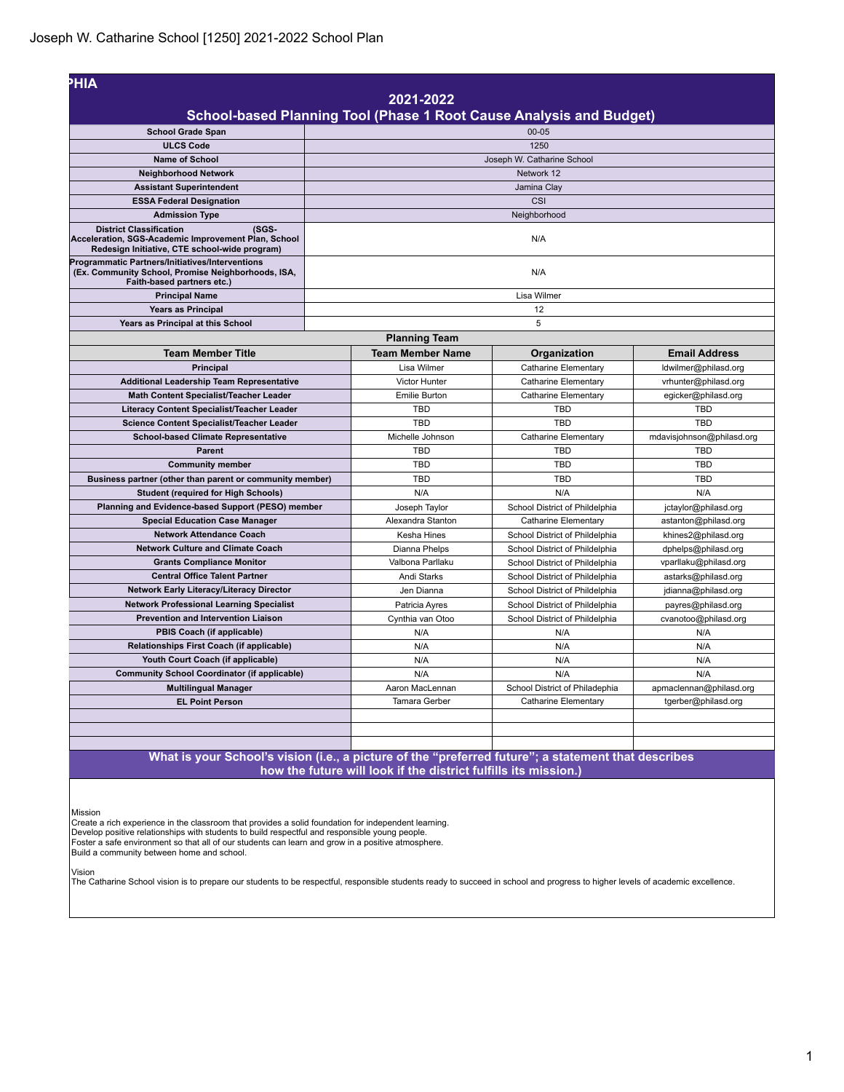| <b>PHIA</b>                                                                                                                                     |                         |                                                                     |                           |
|-------------------------------------------------------------------------------------------------------------------------------------------------|-------------------------|---------------------------------------------------------------------|---------------------------|
|                                                                                                                                                 | 2021-2022               |                                                                     |                           |
|                                                                                                                                                 |                         | School-based Planning Tool (Phase 1 Root Cause Analysis and Budget) |                           |
| <b>School Grade Span</b>                                                                                                                        |                         | $00 - 05$                                                           |                           |
| <b>ULCS Code</b>                                                                                                                                |                         | 1250                                                                |                           |
| <b>Name of School</b>                                                                                                                           |                         | Joseph W. Catharine School                                          |                           |
| <b>Neighborhood Network</b>                                                                                                                     |                         | Network 12                                                          |                           |
| <b>Assistant Superintendent</b>                                                                                                                 |                         | Jamina Clay                                                         |                           |
| <b>ESSA Federal Designation</b>                                                                                                                 |                         | CSI                                                                 |                           |
| <b>Admission Type</b>                                                                                                                           |                         | Neighborhood                                                        |                           |
| (SGS-<br><b>District Classification</b><br>Acceleration, SGS-Academic Improvement Plan, School<br>Redesign Initiative, CTE school-wide program) |                         | N/A                                                                 |                           |
| Programmatic Partners/Initiatives/Interventions<br>(Ex. Community School, Promise Neighborhoods, ISA,<br>Faith-based partners etc.)             |                         | N/A                                                                 |                           |
| <b>Principal Name</b>                                                                                                                           |                         | Lisa Wilmer                                                         |                           |
| <b>Years as Principal</b>                                                                                                                       |                         | 12                                                                  |                           |
| Years as Principal at this School                                                                                                               |                         | 5                                                                   |                           |
|                                                                                                                                                 | <b>Planning Team</b>    |                                                                     |                           |
| <b>Team Member Title</b>                                                                                                                        | <b>Team Member Name</b> | Organization                                                        | <b>Email Address</b>      |
| Principal                                                                                                                                       | Lisa Wilmer             | Catharine Elementary                                                | ldwilmer@philasd.org      |
| <b>Additional Leadership Team Representative</b>                                                                                                | <b>Victor Hunter</b>    | Catharine Elementary                                                | vrhunter@philasd.org      |
| Math Content Specialist/Teacher Leader                                                                                                          | <b>Emilie Burton</b>    | Catharine Elementary                                                | egicker@philasd.org       |
| Literacy Content Specialist/Teacher Leader                                                                                                      | <b>TBD</b>              | TBD                                                                 | <b>TBD</b>                |
| Science Content Specialist/Teacher Leader                                                                                                       | <b>TBD</b>              | <b>TBD</b>                                                          | <b>TBD</b>                |
| <b>School-based Climate Representative</b>                                                                                                      | Michelle Johnson        | Catharine Elementary                                                | mdavisjohnson@philasd.org |
| <b>Parent</b>                                                                                                                                   | <b>TBD</b>              | TBD                                                                 | <b>TBD</b>                |
| <b>Community member</b>                                                                                                                         | <b>TBD</b>              | <b>TBD</b>                                                          | <b>TBD</b>                |
| Business partner (other than parent or community member)                                                                                        | <b>TBD</b>              | <b>TBD</b>                                                          | <b>TBD</b>                |
| <b>Student (required for High Schools)</b>                                                                                                      | N/A                     | N/A                                                                 | N/A                       |
| Planning and Evidence-based Support (PESO) member                                                                                               | Joseph Taylor           | School District of Phildelphia                                      | jctaylor@philasd.org      |
| <b>Special Education Case Manager</b>                                                                                                           | Alexandra Stanton       | Catharine Elementary                                                | astanton@philasd.org      |
| <b>Network Attendance Coach</b>                                                                                                                 | Kesha Hines             | School District of Phildelphia                                      | khines2@philasd.org       |
| <b>Network Culture and Climate Coach</b>                                                                                                        | Dianna Phelps           | School District of Phildelphia                                      | dphelps@philasd.org       |
| <b>Grants Compliance Monitor</b>                                                                                                                | Valbona Parllaku        | School District of Phildelphia                                      | vparllaku@philasd.org     |
| <b>Central Office Talent Partner</b>                                                                                                            | Andi Starks             | School District of Phildelphia                                      | astarks@philasd.org       |
| Network Early Literacy/Literacy Director                                                                                                        | Jen Dianna              | School District of Phildelphia                                      | jdianna@philasd.org       |
| <b>Network Professional Learning Specialist</b>                                                                                                 | Patricia Ayres          | School District of Phildelphia                                      | payres@philasd.org        |
| Prevention and Intervention Liaison                                                                                                             | Cynthia van Otoo        | School District of Phildelphia                                      | cvanotoo@philasd.org      |
| PBIS Coach (if applicable)                                                                                                                      | N/A                     | N/A                                                                 | N/A                       |
| Relationships First Coach (if applicable)                                                                                                       | N/A                     | N/A                                                                 | N/A                       |
| Youth Court Coach (if applicable)                                                                                                               | N/A                     | N/A                                                                 | N/A                       |
| <b>Community School Coordinator (if applicable)</b>                                                                                             | N/A                     | N/A                                                                 | N/A                       |
| <b>Multilingual Manager</b>                                                                                                                     | Aaron MacLennan         | School District of Philadephia                                      | apmaclennan@philasd.org   |
| <b>EL Point Person</b>                                                                                                                          | Tamara Gerber           | <b>Catharine Elementary</b>                                         | tgerber@philasd.org       |
|                                                                                                                                                 |                         |                                                                     |                           |
|                                                                                                                                                 |                         |                                                                     |                           |
|                                                                                                                                                 |                         |                                                                     |                           |
| What is your School's vision (i.e., a picture of the "preferred future"; a statement that describes                                             |                         |                                                                     |                           |

**how the future will look if the district fulfills its mission.)**

Mission

Create a rich experience in the classroom that provides a solid foundation for independent learning.<br>Develop positive relationships with students to build respectful and responsible young people.<br>Foster a safe environment

Vision The Catharine School vision is to prepare our students to be respectful, responsible students ready to succeed in school and progress to higher levels of academic excellence.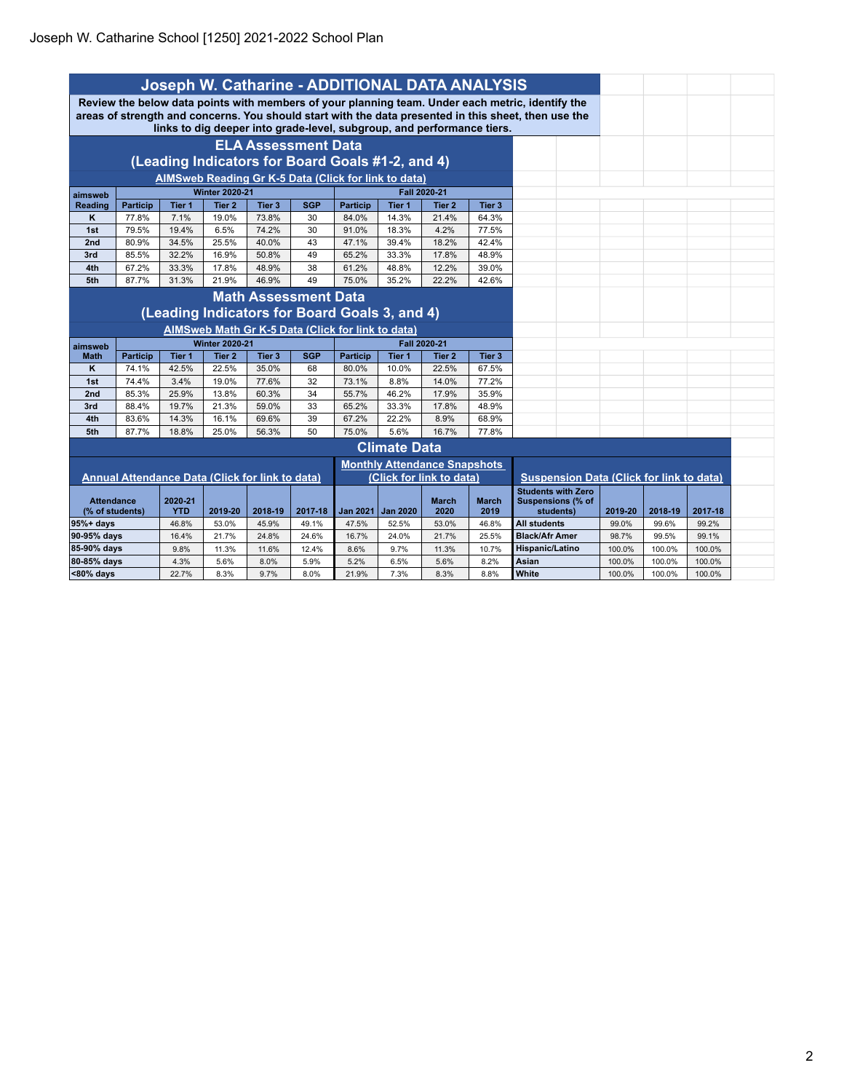| Joseph W. Catharine - ADDITIONAL DATA ANALYSIS                                                                                                                                                                                                                                     |                 |               |                       |                             |                                                                    |                                                      |                     |                                     |                |                                                 |        |        |        |  |
|------------------------------------------------------------------------------------------------------------------------------------------------------------------------------------------------------------------------------------------------------------------------------------|-----------------|---------------|-----------------------|-----------------------------|--------------------------------------------------------------------|------------------------------------------------------|---------------------|-------------------------------------|----------------|-------------------------------------------------|--------|--------|--------|--|
| Review the below data points with members of your planning team. Under each metric, identify the<br>areas of strength and concerns. You should start with the data presented in this sheet, then use the<br>links to dig deeper into grade-level, subgroup, and performance tiers. |                 |               |                       |                             |                                                                    |                                                      |                     |                                     |                |                                                 |        |        |        |  |
| <b>ELA Assessment Data</b><br>(Leading Indicators for Board Goals #1-2, and 4)                                                                                                                                                                                                     |                 |               |                       |                             |                                                                    |                                                      |                     |                                     |                |                                                 |        |        |        |  |
|                                                                                                                                                                                                                                                                                    |                 |               |                       |                             |                                                                    | AIMSweb Reading Gr K-5 Data (Click for link to data) |                     |                                     |                |                                                 |        |        |        |  |
| aimsweb                                                                                                                                                                                                                                                                            |                 |               | <b>Winter 2020-21</b> |                             |                                                                    |                                                      |                     | Fall 2020-21                        |                |                                                 |        |        |        |  |
| <b>Reading</b>                                                                                                                                                                                                                                                                     | <b>Particip</b> | Tier 1        | Tier 2                | Tier 3                      | <b>SGP</b>                                                         | <b>Particip</b>                                      | Tier 1              | Tier 2                              | Tier 3         |                                                 |        |        |        |  |
| ĸ                                                                                                                                                                                                                                                                                  | 77.8%           | 7.1%          | 19.0%                 | 73.8%                       | 30                                                                 | 84.0%                                                | 14.3%               | 21.4%                               | 64.3%          |                                                 |        |        |        |  |
| 1st                                                                                                                                                                                                                                                                                | 79.5%           | 19.4%         | 6.5%                  | 74.2%                       | 30                                                                 | 91.0%                                                | 18.3%               | 4.2%                                | 77.5%          |                                                 |        |        |        |  |
| 2nd                                                                                                                                                                                                                                                                                | 80.9%           | 34.5%         | 25.5%                 | 40.0%                       | 43                                                                 | 47.1%                                                | 39.4%               | 18.2%                               | 42.4%          |                                                 |        |        |        |  |
| 3rd                                                                                                                                                                                                                                                                                | 85.5%           | 32.2%         | 16.9%                 | 50.8%                       | 49                                                                 | 65.2%                                                | 33.3%               | 17.8%                               | 48.9%          |                                                 |        |        |        |  |
| 4th                                                                                                                                                                                                                                                                                | 67.2%           | 33.3%         | 17.8%                 | 48.9%                       | 38                                                                 | 61.2%                                                | 48.8%               | 12.2%                               | 39.0%          |                                                 |        |        |        |  |
| 5th                                                                                                                                                                                                                                                                                | 87.7%           | 31.3%         | 21.9%                 | 46.9%                       | 49                                                                 | 75.0%                                                | 35.2%               | 22.2%                               | 42.6%          |                                                 |        |        |        |  |
|                                                                                                                                                                                                                                                                                    |                 |               |                       | <b>Math Assessment Data</b> |                                                                    | (Leading Indicators for Board Goals 3, and 4)        |                     |                                     |                |                                                 |        |        |        |  |
|                                                                                                                                                                                                                                                                                    |                 |               |                       |                             |                                                                    | AIMSweb Math Gr K-5 Data (Click for link to data)    |                     |                                     |                |                                                 |        |        |        |  |
| aimsweb                                                                                                                                                                                                                                                                            |                 |               | <b>Winter 2020-21</b> |                             |                                                                    |                                                      |                     | Fall 2020-21                        |                |                                                 |        |        |        |  |
| <b>Math</b>                                                                                                                                                                                                                                                                        | <b>Particip</b> | Tier 1        | Tier 2                | Tier 3                      | <b>SGP</b>                                                         | <b>Particip</b>                                      | Tier 1              | Tier 2                              | Tier 3         |                                                 |        |        |        |  |
| ĸ                                                                                                                                                                                                                                                                                  | 74.1%           | 42.5%         | 22.5%                 | 35.0%                       | 68                                                                 | 80.0%                                                | 10.0%               | 22.5%                               | 67.5%          |                                                 |        |        |        |  |
| 1st                                                                                                                                                                                                                                                                                | 74.4%<br>85.3%  | 3.4%<br>25.9% | 19.0%                 | 77.6%                       | 32<br>34                                                           | 73.1%                                                | 8.8%                | 14.0%<br>17.9%                      | 77.2%<br>35.9% |                                                 |        |        |        |  |
| 2nd<br>3rd                                                                                                                                                                                                                                                                         | 88.4%           | 19.7%         | 13.8%<br>21.3%        | 60.3%<br>59.0%              | 33                                                                 | 55.7%<br>65.2%                                       | 46.2%<br>33.3%      | 17.8%                               | 48.9%          |                                                 |        |        |        |  |
| 4th                                                                                                                                                                                                                                                                                | 83.6%           | 14.3%         | 16.1%                 | 69.6%                       | 39                                                                 | 67.2%                                                | 22.2%               | 8.9%                                | 68.9%          |                                                 |        |        |        |  |
| 5th                                                                                                                                                                                                                                                                                | 87.7%           | 18.8%         | 25.0%                 | 56.3%                       | 50                                                                 | 75.0%                                                | 5.6%                | 16.7%                               | 77.8%          |                                                 |        |        |        |  |
|                                                                                                                                                                                                                                                                                    |                 |               |                       |                             |                                                                    |                                                      | <b>Climate Data</b> |                                     |                |                                                 |        |        |        |  |
|                                                                                                                                                                                                                                                                                    |                 |               |                       |                             |                                                                    |                                                      |                     |                                     |                |                                                 |        |        |        |  |
|                                                                                                                                                                                                                                                                                    |                 |               |                       |                             |                                                                    |                                                      |                     | <b>Monthly Attendance Snapshots</b> |                | <b>Suspension Data (Click for link to data)</b> |        |        |        |  |
| Annual Attendance Data (Click for link to data)<br>(Click for link to data)<br><b>Attendance</b><br>2020-21<br><b>March</b><br><b>March</b><br>(% of students)<br><b>YTD</b><br>2019-20<br>2018-19<br>2017-18<br><b>Jan 2021</b><br><b>Jan 2020</b><br>2020<br>2019                |                 |               |                       |                             | <b>Students with Zero</b><br><b>Suspensions (% of</b><br>students) | 2019-20                                              | 2018-19             | 2017-18                             |                |                                                 |        |        |        |  |
| $95%+days$                                                                                                                                                                                                                                                                         |                 | 46.8%         | 53.0%                 | 45.9%                       | 49.1%                                                              | 47.5%                                                | 52.5%               | 53.0%                               | 46.8%          | <b>All students</b>                             | 99.0%  | 99.6%  | 99.2%  |  |
| 90-95% days                                                                                                                                                                                                                                                                        |                 | 16.4%         | 21.7%                 | 24.8%                       | 24.6%                                                              | 16.7%                                                | 24.0%               | 21.7%                               | 25.5%          | <b>Black/Afr Amer</b>                           | 98.7%  | 99.5%  | 99.1%  |  |
| 85-90% days                                                                                                                                                                                                                                                                        |                 | 9.8%          | 11.3%                 | 11.6%                       | 12.4%                                                              | 8.6%                                                 | 9.7%                | 11.3%                               | 10.7%          | Hispanic/Latino                                 | 100.0% | 100.0% | 100.0% |  |
| 80-85% days                                                                                                                                                                                                                                                                        |                 | 4.3%          | 5.6%                  | 8.0%                        | 5.9%                                                               | 5.2%                                                 | 6.5%                | 5.6%                                | 8.2%           | Asian                                           | 100.0% | 100.0% | 100.0% |  |
| <80% days                                                                                                                                                                                                                                                                          |                 | 22.7%         | 8.3%                  | 9.7%                        | 8.0%                                                               | 21.9%                                                | 7.3%                | 8.3%                                | 8.8%           | White                                           | 100.0% | 100.0% | 100.0% |  |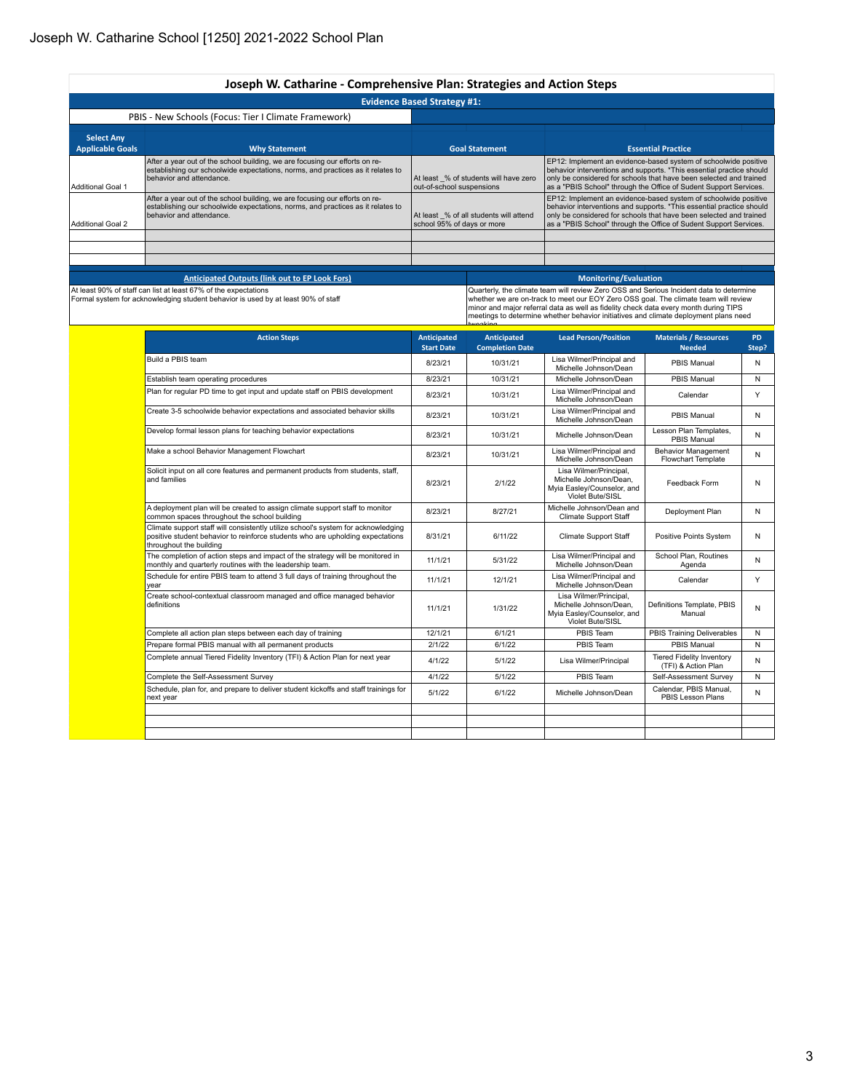|                                              | Joseph W. Catharine - Comprehensive Plan: Strategies and Action Steps                                                                                                                      |                                    |                                         |                                         |                                                                                                                                                                                                                                                                                                                                                                |  |  |
|----------------------------------------------|--------------------------------------------------------------------------------------------------------------------------------------------------------------------------------------------|------------------------------------|-----------------------------------------|-----------------------------------------|----------------------------------------------------------------------------------------------------------------------------------------------------------------------------------------------------------------------------------------------------------------------------------------------------------------------------------------------------------------|--|--|
|                                              |                                                                                                                                                                                            | <b>Evidence Based Strategy #1:</b> |                                         |                                         |                                                                                                                                                                                                                                                                                                                                                                |  |  |
|                                              | PBIS - New Schools (Focus: Tier I Climate Framework)                                                                                                                                       |                                    |                                         |                                         |                                                                                                                                                                                                                                                                                                                                                                |  |  |
| <b>Select Any</b><br><b>Applicable Goals</b> | <b>Why Statement</b>                                                                                                                                                                       |                                    | <b>Goal Statement</b>                   |                                         | <b>Essential Practice</b>                                                                                                                                                                                                                                                                                                                                      |  |  |
| <b>Additional Goal 1</b>                     | After a year out of the school building, we are focusing our efforts on re-<br>establishing our schoolwide expectations, norms, and practices as it relates to<br>behavior and attendance. | out-of-school suspensions          | At least _% of students will have zero  |                                         | EP12: Implement an evidence-based system of schoolwide positive<br>behavior interventions and supports. *This essential practice should<br>only be considered for schools that have been selected and trained<br>as a "PBIS School" through the Office of Sudent Support Services.                                                                             |  |  |
| <b>Additional Goal 2</b>                     | After a year out of the school building, we are focusing our efforts on re-<br>establishing our schoolwide expectations, norms, and practices as it relates to<br>behavior and attendance. | school 95% of days or more         | At least 6% of all students will attend |                                         | EP12: Implement an evidence-based system of schoolwide positive<br>behavior interventions and supports. *This essential practice should<br>only be considered for schools that have been selected and trained<br>as a "PBIS School" through the Office of Sudent Support Services.                                                                             |  |  |
|                                              |                                                                                                                                                                                            |                                    |                                         |                                         |                                                                                                                                                                                                                                                                                                                                                                |  |  |
|                                              |                                                                                                                                                                                            |                                    |                                         |                                         |                                                                                                                                                                                                                                                                                                                                                                |  |  |
|                                              |                                                                                                                                                                                            |                                    |                                         |                                         |                                                                                                                                                                                                                                                                                                                                                                |  |  |
|                                              | <b>Anticipated Outputs (link out to EP Look Fors)</b>                                                                                                                                      |                                    |                                         | <b>Monitoring/Evaluation</b>            |                                                                                                                                                                                                                                                                                                                                                                |  |  |
|                                              | At least 90% of staff can list at least 67% of the expectations<br>Formal system for acknowledging student behavior is used by at least 90% of staff                                       |                                    |                                         |                                         | Quarterly, the climate team will review Zero OSS and Serious Incident data to determine<br>whether we are on-track to meet our EOY Zero OSS goal. The climate team will review<br>minor and major referral data as well as fidelity check data every month during TIPS<br>meetings to determine whether behavior initiatives and climate deployment plans need |  |  |
|                                              | Academy Partner                                                                                                                                                                            | Account of the sense of            | And a finding of the state of the con-  | the state in a second financial and the | <b>NATALISTIC FINISHING CONTROL</b>                                                                                                                                                                                                                                                                                                                            |  |  |

| <b>Action Steps</b>                                                                                                                                                                            | <b>Anticipated</b><br><b>Start Date</b> | <b>Anticipated</b><br><b>Completion Date</b> | <b>Lead Person/Position</b>                                                                        | <b>Materials / Resources</b><br><b>Needed</b>           | PD.<br>Step? |
|------------------------------------------------------------------------------------------------------------------------------------------------------------------------------------------------|-----------------------------------------|----------------------------------------------|----------------------------------------------------------------------------------------------------|---------------------------------------------------------|--------------|
| Build a PBIS team                                                                                                                                                                              | 8/23/21                                 | 10/31/21                                     | Lisa Wilmer/Principal and<br>Michelle Johnson/Dean                                                 | <b>PBIS Manual</b>                                      | N            |
| Establish team operating procedures                                                                                                                                                            | 8/23/21                                 | 10/31/21                                     | Michelle Johnson/Dean                                                                              | PBIS Manual                                             | N            |
| Plan for regular PD time to get input and update staff on PBIS development                                                                                                                     | 8/23/21                                 | 10/31/21                                     | Lisa Wilmer/Principal and<br>Michelle Johnson/Dean                                                 | Calendar                                                | Y            |
| Create 3-5 schoolwide behavior expectations and associated behavior skills                                                                                                                     | 8/23/21                                 | 10/31/21                                     | Lisa Wilmer/Principal and<br>Michelle Johnson/Dean                                                 | <b>PBIS Manual</b>                                      | N            |
| Develop formal lesson plans for teaching behavior expectations                                                                                                                                 | 8/23/21                                 | 10/31/21                                     | Michelle Johnson/Dean                                                                              | Lesson Plan Templates.<br>PBIS Manual                   | N            |
| Make a school Behavior Management Flowchart                                                                                                                                                    | 8/23/21                                 | 10/31/21                                     | Lisa Wilmer/Principal and<br>Michelle Johnson/Dean                                                 | <b>Behavior Management</b><br><b>Flowchart Template</b> | N            |
| Solicit input on all core features and permanent products from students, staff,<br>and families                                                                                                | 8/23/21                                 | 2/1/22                                       | Lisa Wilmer/Principal.<br>Michelle Johnson/Dean.<br>Myia Easley/Counselor, and<br>Violet Bute/SISL | Feedback Form                                           | N            |
| A deployment plan will be created to assign climate support staff to monitor<br>common spaces throughout the school building                                                                   | 8/23/21                                 | 8/27/21                                      | Michelle Johnson/Dean and<br><b>Climate Support Staff</b>                                          | Deployment Plan                                         | N            |
| Climate support staff will consistently utilize school's system for acknowledging<br>positive student behavior to reinforce students who are upholding expectations<br>throughout the building | 8/31/21                                 | 6/11/22                                      | <b>Climate Support Staff</b>                                                                       | Positive Points System                                  | N            |
| The completion of action steps and impact of the strategy will be monitored in<br>monthly and quarterly routines with the leadership team.                                                     | 11/1/21                                 | 5/31/22                                      | Lisa Wilmer/Principal and<br>Michelle Johnson/Dean                                                 | School Plan, Routines<br>Agenda                         | N            |
| Schedule for entire PBIS team to attend 3 full days of training throughout the<br>year                                                                                                         | 11/1/21                                 | 12/1/21                                      | Lisa Wilmer/Principal and<br>Michelle Johnson/Dean                                                 | Calendar                                                | Y            |
| Create school-contextual classroom managed and office managed behavior<br>definitions                                                                                                          | 11/1/21                                 | 1/31/22                                      | Lisa Wilmer/Principal.<br>Michelle Johnson/Dean.<br>Myia Easley/Counselor, and<br>Violet Bute/SISL | Definitions Template, PBIS<br>Manual                    | N            |
| Complete all action plan steps between each day of training                                                                                                                                    | 12/1/21                                 | 6/1/21                                       | PBIS Team                                                                                          | PBIS Training Deliverables                              | N            |
| Prepare formal PBIS manual with all permanent products                                                                                                                                         | 2/1/22                                  | 6/1/22                                       | PBIS Team                                                                                          | PBIS Manual                                             | N            |
| Complete annual Tiered Fidelity Inventory (TFI) & Action Plan for next year                                                                                                                    | 4/1/22                                  | 5/1/22                                       | Lisa Wilmer/Principal                                                                              | <b>Tiered Fidelity Inventory</b><br>(TFI) & Action Plan | N            |
| Complete the Self-Assessment Survey                                                                                                                                                            | 4/1/22                                  | 5/1/22                                       | PBIS Team                                                                                          | Self-Assessment Survey                                  | N            |
| Schedule, plan for, and prepare to deliver student kickoffs and staff trainings for<br>next year                                                                                               | 5/1/22                                  | 6/1/22                                       | Michelle Johnson/Dean                                                                              | Calendar, PBIS Manual,<br>PBIS Lesson Plans             | N            |
|                                                                                                                                                                                                |                                         |                                              |                                                                                                    |                                                         |              |
|                                                                                                                                                                                                |                                         |                                              |                                                                                                    |                                                         |              |
|                                                                                                                                                                                                |                                         |                                              |                                                                                                    |                                                         |              |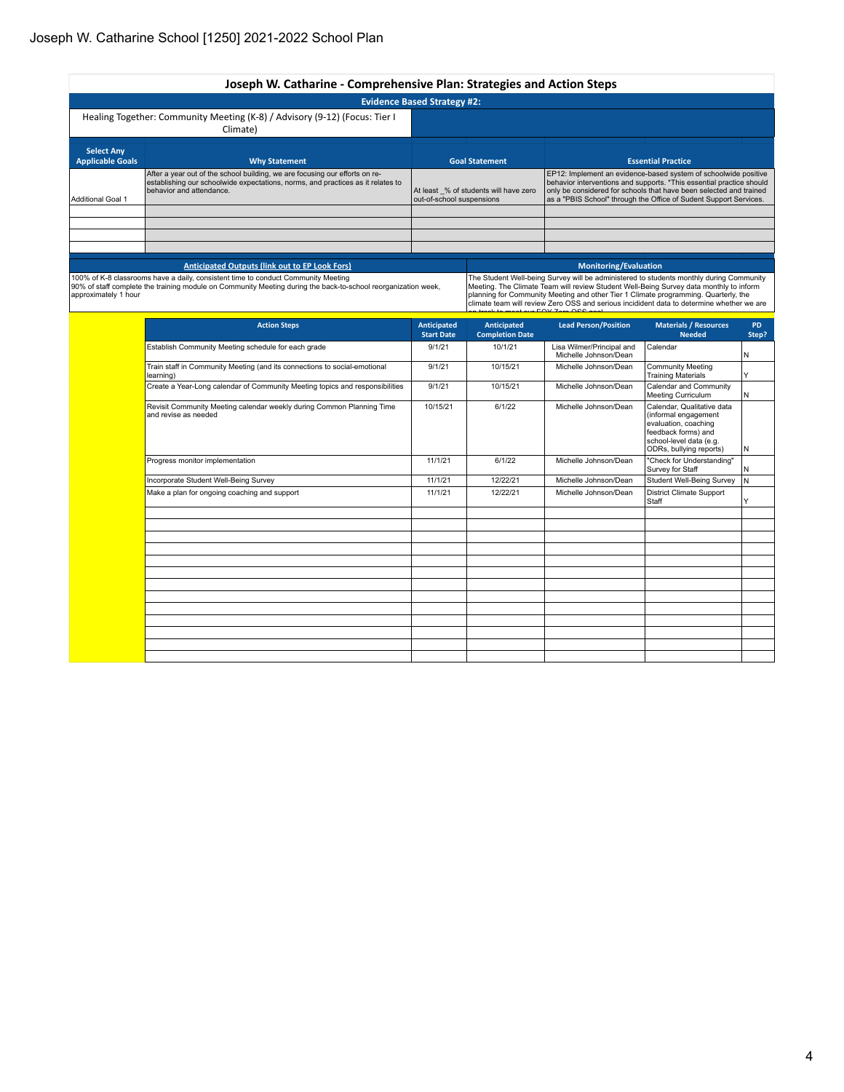|                                              | Joseph W. Catharine - Comprehensive Plan: Strategies and Action Steps                                                                                                                      |                           |                                       |                                                                                                                                                                                                                                                                                    |  |  |  |  |  |
|----------------------------------------------|--------------------------------------------------------------------------------------------------------------------------------------------------------------------------------------------|---------------------------|---------------------------------------|------------------------------------------------------------------------------------------------------------------------------------------------------------------------------------------------------------------------------------------------------------------------------------|--|--|--|--|--|
|                                              | <b>Evidence Based Strategy #2:</b>                                                                                                                                                         |                           |                                       |                                                                                                                                                                                                                                                                                    |  |  |  |  |  |
|                                              | Healing Together: Community Meeting (K-8) / Advisory (9-12) (Focus: Tier I)<br>Climate)                                                                                                    |                           |                                       |                                                                                                                                                                                                                                                                                    |  |  |  |  |  |
|                                              |                                                                                                                                                                                            |                           |                                       |                                                                                                                                                                                                                                                                                    |  |  |  |  |  |
| <b>Select Any</b><br><b>Applicable Goals</b> | <b>Why Statement</b>                                                                                                                                                                       |                           | <b>Goal Statement</b>                 | <b>Essential Practice</b>                                                                                                                                                                                                                                                          |  |  |  |  |  |
| Additional Goal 1                            | After a year out of the school building, we are focusing our efforts on re-<br>establishing our schoolwide expectations, norms, and practices as it relates to<br>behavior and attendance. | out-of-school suspensions | At least % of students will have zero | EP12: Implement an evidence-based system of schoolwide positive<br>behavior interventions and supports. *This essential practice should<br>only be considered for schools that have been selected and trained<br>as a "PBIS School" through the Office of Sudent Support Services. |  |  |  |  |  |
|                                              |                                                                                                                                                                                            |                           |                                       |                                                                                                                                                                                                                                                                                    |  |  |  |  |  |
|                                              |                                                                                                                                                                                            |                           |                                       |                                                                                                                                                                                                                                                                                    |  |  |  |  |  |
|                                              |                                                                                                                                                                                            |                           |                                       |                                                                                                                                                                                                                                                                                    |  |  |  |  |  |
|                                              |                                                                                                                                                                                            |                           |                                       |                                                                                                                                                                                                                                                                                    |  |  |  |  |  |
|                                              | <b>Anticipated Outputs (link out to EP Look Fors)</b>                                                                                                                                      |                           |                                       | Monitoring/Evaluation                                                                                                                                                                                                                                                              |  |  |  |  |  |

100% of K-8 classrooms have a daily, consistent time to conduct Community Meeting 90% of staff complete the training module on Community Meeting during the back-to-school reorganization week, approximately 1 hour

## The Student Well-being Survey will be administered to students monthly during Community<br>Meeting. The Climate Team will review Student Well-Being Survey data monthly to inform<br>planning for Community Meeting and other Tier 1

| <b>Action Steps</b>                                                                           | <b>Anticipated</b><br><b>Start Date</b> | <b>Anticipated</b><br><b>Completion Date</b> | <b>Lead Person/Position</b>                        | <b>Materials / Resources</b><br><b>Needed</b>                                                                                                           | <b>PD</b><br>Step? |
|-----------------------------------------------------------------------------------------------|-----------------------------------------|----------------------------------------------|----------------------------------------------------|---------------------------------------------------------------------------------------------------------------------------------------------------------|--------------------|
| Establish Community Meeting schedule for each grade                                           | 9/1/21                                  | 10/1/21                                      | Lisa Wilmer/Principal and<br>Michelle Johnson/Dean | Calendar                                                                                                                                                | N                  |
| Train staff in Community Meeting (and its connections to social-emotional<br>learning)        | 9/1/21                                  | 10/15/21                                     | Michelle Johnson/Dean                              | <b>Community Meeting</b><br><b>Training Materials</b>                                                                                                   | Υ                  |
| Create a Year-Long calendar of Community Meeting topics and responsibilities                  | 9/1/21                                  | 10/15/21                                     | Michelle Johnson/Dean                              | Calendar and Community<br>Meeting Curriculum                                                                                                            | N                  |
| Revisit Community Meeting calendar weekly during Common Planning Time<br>and revise as needed | 10/15/21                                | 6/1/22                                       | Michelle Johnson/Dean                              | Calendar, Qualitative data<br>(informal engagement<br>evaluation, coaching<br>feedback forms) and<br>school-level data (e.g.<br>ODRs, bullying reports) | N                  |
| Progress monitor implementation                                                               | 11/1/21                                 | 6/1/22                                       | Michelle Johnson/Dean                              | "Check for Understanding"<br>Survey for Staff                                                                                                           | N                  |
| Incorporate Student Well-Being Survey                                                         | 11/1/21                                 | 12/22/21                                     | Michelle Johnson/Dean                              | Student Well-Being Survey                                                                                                                               | İΝ                 |
| Make a plan for ongoing coaching and support                                                  | 11/1/21                                 | 12/22/21                                     | Michelle Johnson/Dean                              | District Climate Support<br>Staff                                                                                                                       | ٧                  |
|                                                                                               |                                         |                                              |                                                    |                                                                                                                                                         |                    |
|                                                                                               |                                         |                                              |                                                    |                                                                                                                                                         |                    |
|                                                                                               |                                         |                                              |                                                    |                                                                                                                                                         |                    |
|                                                                                               |                                         |                                              |                                                    |                                                                                                                                                         |                    |
|                                                                                               |                                         |                                              |                                                    |                                                                                                                                                         |                    |
|                                                                                               |                                         |                                              |                                                    |                                                                                                                                                         |                    |
|                                                                                               |                                         |                                              |                                                    |                                                                                                                                                         |                    |
|                                                                                               |                                         |                                              |                                                    |                                                                                                                                                         |                    |
|                                                                                               |                                         |                                              |                                                    |                                                                                                                                                         |                    |
|                                                                                               |                                         |                                              |                                                    |                                                                                                                                                         |                    |
|                                                                                               |                                         |                                              |                                                    |                                                                                                                                                         |                    |
|                                                                                               |                                         |                                              |                                                    |                                                                                                                                                         |                    |
|                                                                                               |                                         |                                              |                                                    |                                                                                                                                                         |                    |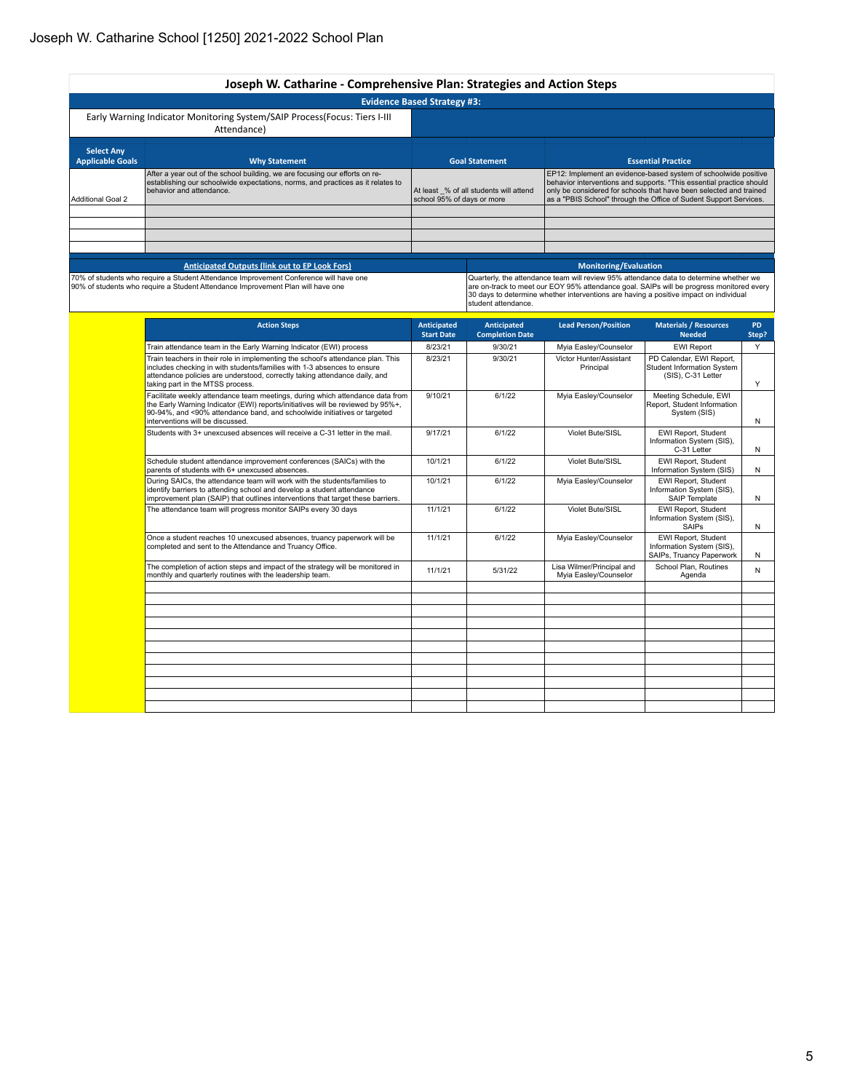|                                              | Joseph W. Catharine - Comprehensive Plan: Strategies and Action Steps                                                                                                                                                                                                            |                                         |                                              |                                                    |                                                                                                                                                                                                                                                                                    |             |
|----------------------------------------------|----------------------------------------------------------------------------------------------------------------------------------------------------------------------------------------------------------------------------------------------------------------------------------|-----------------------------------------|----------------------------------------------|----------------------------------------------------|------------------------------------------------------------------------------------------------------------------------------------------------------------------------------------------------------------------------------------------------------------------------------------|-------------|
|                                              |                                                                                                                                                                                                                                                                                  | <b>Evidence Based Strategy #3:</b>      |                                              |                                                    |                                                                                                                                                                                                                                                                                    |             |
|                                              | Early Warning Indicator Monitoring System/SAIP Process(Focus: Tiers I-III<br>Attendance)                                                                                                                                                                                         |                                         |                                              |                                                    |                                                                                                                                                                                                                                                                                    |             |
| <b>Select Any</b><br><b>Applicable Goals</b> | <b>Why Statement</b>                                                                                                                                                                                                                                                             |                                         | <b>Goal Statement</b>                        |                                                    | <b>Essential Practice</b>                                                                                                                                                                                                                                                          |             |
| <b>Additional Goal 2</b>                     | After a year out of the school building, we are focusing our efforts on re-<br>establishing our schoolwide expectations, norms, and practices as it relates to<br>behavior and attendance.<br>At least 6% of all students will attend<br>school 95% of days or more              |                                         |                                              |                                                    | EP12: Implement an evidence-based system of schoolwide positive<br>behavior interventions and supports. *This essential practice should<br>only be considered for schools that have been selected and trained<br>as a "PBIS School" through the Office of Sudent Support Services. |             |
|                                              |                                                                                                                                                                                                                                                                                  |                                         |                                              |                                                    |                                                                                                                                                                                                                                                                                    |             |
|                                              | <b>Anticipated Outputs (link out to EP Look Fors)</b>                                                                                                                                                                                                                            |                                         |                                              | <b>Monitoring/Evaluation</b>                       |                                                                                                                                                                                                                                                                                    |             |
|                                              | 70% of students who require a Student Attendance Improvement Conference will have one<br>90% of students who require a Student Attendance Improvement Plan will have one                                                                                                         |                                         | student attendance.                          |                                                    | Quarterly, the attendance team will review 95% attendance data to determine whether we<br>are on-track to meet our EOY 95% attendance goal. SAIPs will be progress monitored every<br>30 days to determine whether interventions are having a positive impact on individual        |             |
|                                              | <b>Action Steps</b>                                                                                                                                                                                                                                                              | <b>Anticipated</b><br><b>Start Date</b> | <b>Anticipated</b><br><b>Completion Date</b> | <b>Lead Person/Position</b>                        | <b>Materials / Resources</b><br><b>Needed</b>                                                                                                                                                                                                                                      | PD<br>Step? |
|                                              | Train attendance team in the Early Warning Indicator (EWI) process                                                                                                                                                                                                               | 8/23/21                                 | 9/30/21                                      | Myia Easley/Counselor                              | <b>EWI Report</b>                                                                                                                                                                                                                                                                  | Y           |
|                                              | Train teachers in their role in implementing the school's attendance plan. This<br>includes checking in with students/families with 1-3 absences to ensure<br>attendance policies are understood, correctly taking attendance daily, and<br>taking part in the MTSS process.     | 8/23/21                                 | 9/30/21                                      | Victor Hunter/Assistant<br>Principal               | PD Calendar, EWI Report,<br><b>Student Information System</b><br>(SIS), C-31 Letter                                                                                                                                                                                                | Υ           |
|                                              | Facilitate weekly attendance team meetings, during which attendance data from<br>the Early Warning Indicator (EWI) reports/initiatives will be reviewed by 95%+,<br>90-94%, and <90% attendance band, and schoolwide initiatives or targeted<br>interventions will be discussed. | 9/10/21                                 | 6/1/22                                       | Myia Easley/Counselor                              | Meeting Schedule, EWI<br>Report, Student Information<br>System (SIS)                                                                                                                                                                                                               | N           |
|                                              | Students with 3+ unexcused absences will receive a C-31 letter in the mail.                                                                                                                                                                                                      | 9/17/21                                 | 6/1/22                                       | Violet Bute/SISL                                   | EWI Report, Student<br>Information System (SIS),<br>C-31 Letter                                                                                                                                                                                                                    | N           |
|                                              | Schedule student attendance improvement conferences (SAICs) with the<br>parents of students with 6+ unexcused absences.                                                                                                                                                          | 10/1/21                                 | 6/1/22                                       | Violet Bute/SISL                                   | EWI Report, Student<br>Information System (SIS)                                                                                                                                                                                                                                    | Ν           |
|                                              | During SAICs, the attendance team will work with the students/families to<br>identify barriers to attending school and develop a student attendance<br>improvement plan (SAIP) that outlines interventions that target these barriers.                                           | 10/1/21                                 | 6/1/22                                       | Myia Easley/Counselor                              | EWI Report, Student<br>Information System (SIS),<br>SAIP Template                                                                                                                                                                                                                  | N           |
|                                              | The attendance team will progress monitor SAIPs every 30 days                                                                                                                                                                                                                    | 11/1/21                                 | 6/1/22                                       | Violet Bute/SISL                                   | EWI Report, Student<br>Information System (SIS),<br>SAIPS                                                                                                                                                                                                                          | Ν           |
|                                              | Once a student reaches 10 unexcused absences, truancy paperwork will be<br>completed and sent to the Attendance and Truancy Office.                                                                                                                                              | 11/1/21                                 | 6/1/22                                       | Myia Easley/Counselor                              | EWI Report, Student<br>Information System (SIS),<br>SAIPs, Truancy Paperwork                                                                                                                                                                                                       | N           |
|                                              | The completion of action steps and impact of the strategy will be monitored in<br>monthly and quarterly routines with the leadership team.                                                                                                                                       | 11/1/21                                 | 5/31/22                                      | Lisa Wilmer/Principal and<br>Myia Easley/Counselor | School Plan, Routines<br>Agenda                                                                                                                                                                                                                                                    | N           |
|                                              |                                                                                                                                                                                                                                                                                  |                                         |                                              |                                                    |                                                                                                                                                                                                                                                                                    |             |
|                                              |                                                                                                                                                                                                                                                                                  |                                         |                                              |                                                    |                                                                                                                                                                                                                                                                                    |             |
|                                              |                                                                                                                                                                                                                                                                                  |                                         |                                              |                                                    |                                                                                                                                                                                                                                                                                    |             |
|                                              |                                                                                                                                                                                                                                                                                  |                                         |                                              |                                                    |                                                                                                                                                                                                                                                                                    |             |
|                                              |                                                                                                                                                                                                                                                                                  |                                         |                                              |                                                    |                                                                                                                                                                                                                                                                                    |             |
|                                              |                                                                                                                                                                                                                                                                                  |                                         |                                              |                                                    |                                                                                                                                                                                                                                                                                    |             |
|                                              |                                                                                                                                                                                                                                                                                  |                                         |                                              |                                                    |                                                                                                                                                                                                                                                                                    |             |
|                                              |                                                                                                                                                                                                                                                                                  |                                         |                                              |                                                    |                                                                                                                                                                                                                                                                                    |             |
|                                              |                                                                                                                                                                                                                                                                                  |                                         |                                              |                                                    |                                                                                                                                                                                                                                                                                    |             |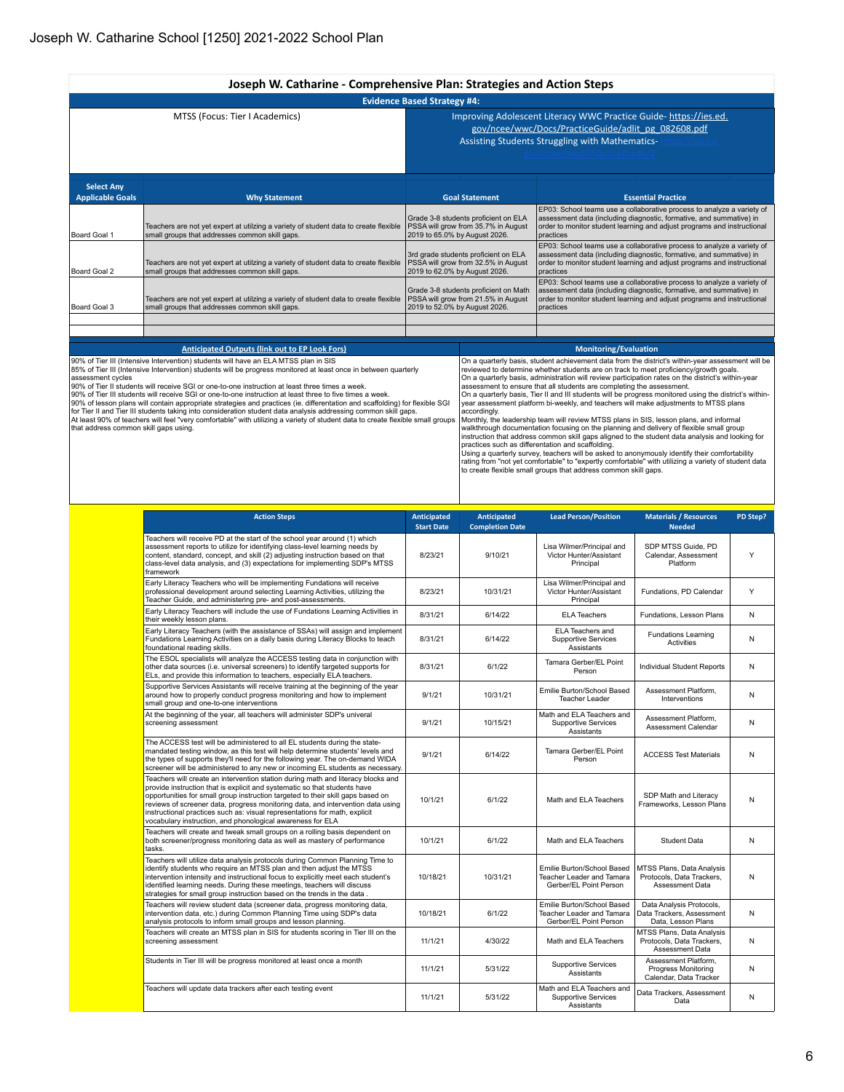|  | Joseph W. Catharine - Comprehensive Plan: Strategies and Action Steps |  |
|--|-----------------------------------------------------------------------|--|
|  |                                                                       |  |

|                                              |                                                                                                                                        | <b>Evidence Based Strategy #4:</b>                                                                            |                                                                                                                                                                                                                                       |
|----------------------------------------------|----------------------------------------------------------------------------------------------------------------------------------------|---------------------------------------------------------------------------------------------------------------|---------------------------------------------------------------------------------------------------------------------------------------------------------------------------------------------------------------------------------------|
|                                              | MTSS (Focus: Tier I Academics)                                                                                                         |                                                                                                               | Improving Adolescent Literacy WWC Practice Guide-https://ies.ed.<br>gov/ncee/wwc/Docs/PracticeGuide/adlit pg 082608.pdf<br>Assisting Students Struggling with Mathematics-<br>gov/ncee/wwc/PracticeGuide/2                            |
| <b>Select Any</b><br><b>Applicable Goals</b> | <b>Why Statement</b>                                                                                                                   | <b>Goal Statement</b>                                                                                         | <b>Essential Practice</b>                                                                                                                                                                                                             |
| Board Goal 1                                 | Teachers are not yet expert at utilzing a variety of student data to create flexible<br>small groups that addresses common skill gaps. | Grade 3-8 students proficient on ELA<br>PSSA will grow from 35.7% in August<br>2019 to 65.0% by August 2026.  | EP03: School teams use a collaborative process to analyze a variety of<br>assessment data (including diagnostic, formative, and summative) in<br>order to monitor student learning and adjust programs and instructional<br>practices |
| Board Goal 2                                 | Teachers are not yet expert at utilzing a variety of student data to create flexible<br>small groups that addresses common skill gaps. | 3rd grade students proficient on ELA<br>PSSA will grow from 32.5% in August<br>2019 to 62.0% by August 2026.  | EP03: School teams use a collaborative process to analyze a variety of<br>assessment data (including diagnostic, formative, and summative) in<br>order to monitor student learning and adjust programs and instructional<br>practices |
| Board Goal 3                                 | Teachers are not yet expert at utilzing a variety of student data to create flexible<br>small groups that addresses common skill gaps. | Grade 3-8 students proficient on Math<br>PSSA will grow from 21.5% in August<br>2019 to 52.0% by August 2026. | EP03: School teams use a collaborative process to analyze a variety of<br>assessment data (including diagnostic, formative, and summative) in<br>order to monitor student learning and adjust programs and instructional<br>practices |
|                                              |                                                                                                                                        |                                                                                                               |                                                                                                                                                                                                                                       |
|                                              |                                                                                                                                        |                                                                                                               |                                                                                                                                                                                                                                       |

**[Anticipated Outputs \(link out to EP Look Fors\)](https://drive.google.com/file/d/1F5GSUIxJlY0qzadHA0FHMLhO3tHJqHxM/view) Monitoring/Evaluation**

90% of Tier III (Intensive Intervention) students will have an ELA MTSS plan in SIS 85% of Tier III (Intensive Intervention) students will be progress monitored at least once in between quarterly

assessment cycles<br>90% of Tier II students will receive SGI or one-to-one instruction at least three times a week.<br>90% of Tier III students will receive SGI or one-to-one instruction at least three to five times a week.

90% of lesson plans will contain appropriate strategies and practices (ie. differentation and scaffolding) for flexible SGI<br>for Tier II and Tier III students taking into consideration student data analysis addressing commo

On a quarterly basis, student achievement data from the district's within-year assessment will be reviewed to determine whether students are on track to meet proficiency/growth goals.<br>On a quarterly basis, administration will review participation rates on the district's within-year<br>assessment to ensure that all student accordingly. Monthly, the leadership team will review MTSS plans in SIS, lesson plans, and informal

walkthrough documentation focusing on the planning and delivery of flexible small group<br>instruction that address common skill gaps aligned to the student data analysis and looking for<br>practices such as differentation and s

| <b>Action Steps</b>                                                                                                                                                                                                                                                                                                                                                                                                                                                             | <b>Anticipated</b><br><b>Start Date</b> | <b>Anticipated</b><br><b>Completion Date</b> | <b>Lead Person/Position</b>                                                              | <b>Materials / Resources</b><br><b>Needed</b>                                    | PD Step? |
|---------------------------------------------------------------------------------------------------------------------------------------------------------------------------------------------------------------------------------------------------------------------------------------------------------------------------------------------------------------------------------------------------------------------------------------------------------------------------------|-----------------------------------------|----------------------------------------------|------------------------------------------------------------------------------------------|----------------------------------------------------------------------------------|----------|
| Teachers will receive PD at the start of the school year around (1) which<br>assessment reports to utilize for identifying class-level learning needs by<br>content, standard, concept, and skill (2) adjusting instruction based on that<br>class-level data analysis, and (3) expectations for implementing SDP's MTSS<br>framework                                                                                                                                           | 8/23/21                                 | 9/10/21                                      | Lisa Wilmer/Principal and<br>Victor Hunter/Assistant<br>Principal                        | SDP MTSS Guide, PD<br>Calendar, Assessment<br>Platform                           | Y        |
| Early Literacy Teachers who will be implementing Fundations will receive<br>professional development around selecting Learning Activities, utilizing the<br>Teacher Guide, and administering pre- and post-assessments.                                                                                                                                                                                                                                                         | 8/23/21                                 | 10/31/21                                     | Lisa Wilmer/Principal and<br>Victor Hunter/Assistant<br>Principal                        | Fundations, PD Calendar                                                          | Y        |
| Early Literacy Teachers will include the use of Fundations Learning Activities in<br>their weekly lesson plans.                                                                                                                                                                                                                                                                                                                                                                 | 8/31/21                                 | 6/14/22                                      | <b>ELA Teachers</b>                                                                      | Fundations, Lesson Plans                                                         | Ν        |
| Early Literacy Teachers (with the assistance of SSAs) will assign and implement<br>Fundations Learning Activities on a daily basis during Literacy Blocks to teach<br>foundational reading skills.                                                                                                                                                                                                                                                                              | 8/31/21                                 | 6/14/22                                      | ELA Teachers and<br><b>Supportive Services</b><br>Assistants                             | <b>Fundations Learning</b><br><b>Activities</b>                                  | N        |
| The ESOL specialists will analyze the ACCESS testing data in conjunction with<br>other data sources (i.e. universal screeners) to identify targeted supports for<br>ELs, and provide this information to teachers, especially ELA teachers.                                                                                                                                                                                                                                     | 8/31/21                                 | 6/1/22                                       | Tamara Gerber/EL Point<br>Person                                                         | Individual Student Reports                                                       | N        |
| Supportive Services Assistants will receive training at the beginning of the year<br>around how to properly conduct progress monitoring and how to implement<br>small group and one-to-one interventions                                                                                                                                                                                                                                                                        | 9/1/21                                  | 10/31/21                                     | Emilie Burton/School Based<br><b>Teacher Leader</b>                                      | Assessment Platform.<br>Interventions                                            | N        |
| At the beginning of the year, all teachers will administer SDP's univeral<br>screening assessment                                                                                                                                                                                                                                                                                                                                                                               | 9/1/21                                  | 10/15/21                                     | Math and ELA Teachers and<br><b>Supportive Services</b><br>Assistants                    | Assessment Platform.<br>Assessment Calendar                                      | Ν        |
| The ACCESS test will be administered to all EL students during the state-<br>mandated testing window, as this test will help determine students' levels and<br>the types of supports they'll need for the following year. The on-demand WIDA<br>screener will be administered to any new or incoming EL students as necessary.                                                                                                                                                  | 9/1/21                                  | 6/14/22                                      | Tamara Gerber/EL Point<br>Person                                                         | <b>ACCESS Test Materials</b>                                                     | N        |
| Teachers will create an intervention station during math and literacy blocks and<br>provide instruction that is explicit and systematic so that students have<br>opportunities for small group instruction targeted to their skill gaps based on<br>reviews of screener data, progress monitoring data, and intervention data using<br>instructional practices such as: visual representations for math, explicit<br>vocabulary instruction, and phonological awareness for ELA | 10/1/21                                 | 6/1/22                                       | Math and ELA Teachers                                                                    | SDP Math and Literacy<br>Frameworks, Lesson Plans                                | N        |
| Teachers will create and tweak small groups on a rolling basis dependent on<br>both screener/progress monitoring data as well as mastery of performance<br>tasks.                                                                                                                                                                                                                                                                                                               | 10/1/21                                 | 6/1/22                                       | Math and ELA Teachers                                                                    | Student Data                                                                     | N        |
| Teachers will utilize data analysis protocols during Common Planning Time to<br>identify students who require an MTSS plan and then adjust the MTSS<br>intervention intensity and instructional focus to explicitly meet each student's<br>identified learning needs. During these meetings, teachers will discuss<br>strategies for small group instruction based on the trends in the data.                                                                                   | 10/18/21                                | 10/31/21                                     | Emilie Burton/School Based<br>Teacher Leader and Tamara<br>Gerber/EL Point Person        | MTSS Plans, Data Analysis<br>Protocols, Data Trackers,<br>Assessment Data        | N        |
| Teachers will review student data (screener data, progress monitoring data,<br>intervention data, etc.) during Common Planning Time using SDP's data<br>analysis protocols to inform small groups and lesson planning.                                                                                                                                                                                                                                                          | 10/18/21                                | 6/1/22                                       | Emilie Burton/School Based<br><b>Teacher Leader and Tamara</b><br>Gerber/EL Point Person | Data Analysis Protocols,<br>Data Trackers, Assessment<br>Data, Lesson Plans      | N        |
| Teachers will create an MTSS plan in SIS for students scoring in Tier III on the<br>screening assessment                                                                                                                                                                                                                                                                                                                                                                        | 11/1/21                                 | 4/30/22                                      | Math and ELA Teachers                                                                    | <b>MTSS Plans, Data Analysis</b><br>Protocols, Data Trackers,<br>Assessment Data | N        |
| Students in Tier III will be progress monitored at least once a month                                                                                                                                                                                                                                                                                                                                                                                                           | 11/1/21                                 | 5/31/22                                      | <b>Supportive Services</b><br>Assistants                                                 | Assessment Platform,<br>Progress Monitoring<br>Calendar, Data Tracker            | N        |
| Teachers will update data trackers after each testing event                                                                                                                                                                                                                                                                                                                                                                                                                     | 11/1/21                                 | 5/31/22                                      | Math and ELA Teachers and<br><b>Supportive Services</b><br>Assistants                    | Data Trackers, Assessment<br>Data                                                | N        |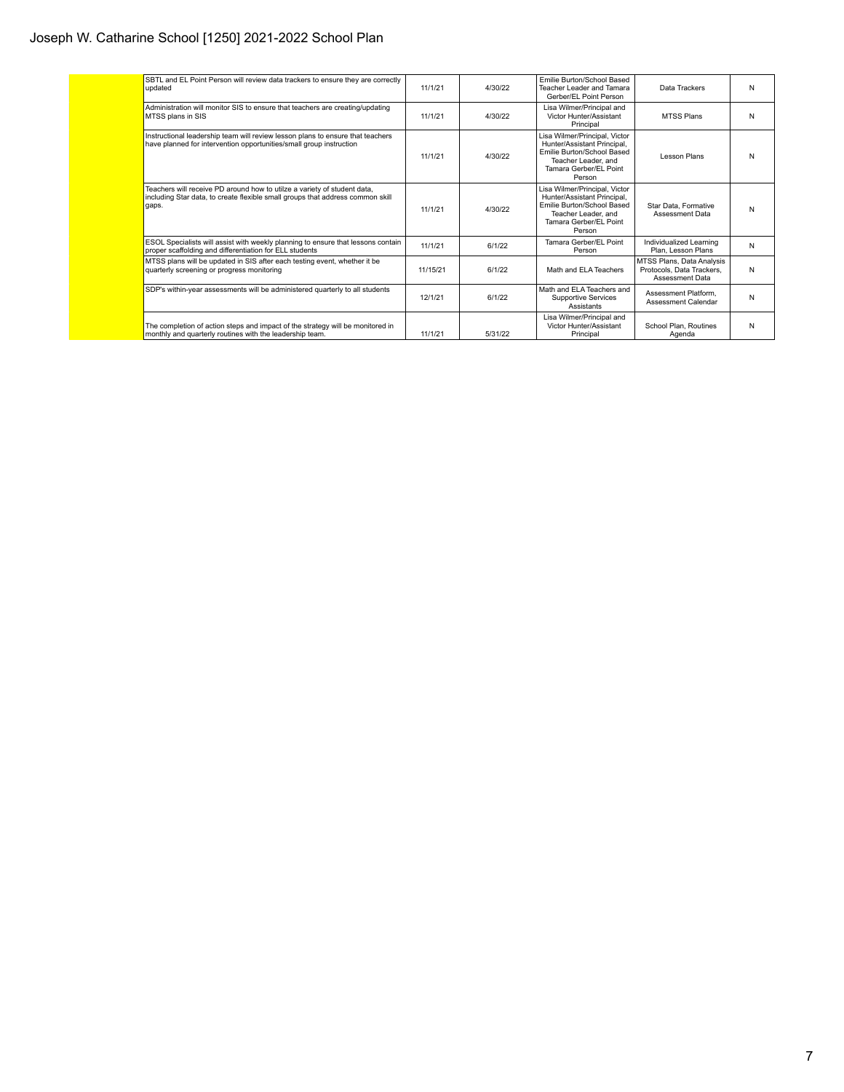## Joseph W. Catharine School [1250] 2021-2022 School Plan

| SBTL and EL Point Person will review data trackers to ensure they are correctly<br>updated                                                                          | 11/1/21  | 4/30/22 | Emilie Burton/School Based<br>Teacher Leader and Tamara<br>Gerber/EL Point Person                                                                     | Data Trackers                                                                    | N |
|---------------------------------------------------------------------------------------------------------------------------------------------------------------------|----------|---------|-------------------------------------------------------------------------------------------------------------------------------------------------------|----------------------------------------------------------------------------------|---|
| Administration will monitor SIS to ensure that teachers are creating/updating<br>MTSS plans in SIS                                                                  | 11/1/21  | 4/30/22 | Lisa Wilmer/Principal and<br>Victor Hunter/Assistant<br>Principal                                                                                     | <b>MTSS Plans</b>                                                                | N |
| Instructional leadership team will review lesson plans to ensure that teachers<br>have planned for intervention opportunities/small group instruction               | 11/1/21  | 4/30/22 | Lisa Wilmer/Principal, Victor<br>Hunter/Assistant Principal,<br>Emilie Burton/School Based<br>Teacher Leader, and<br>Tamara Gerber/EL Point<br>Person | Lesson Plans                                                                     | N |
| Teachers will receive PD around how to utilze a variety of student data,<br>including Star data, to create flexible small groups that address common skill<br>gaps. | 11/1/21  | 4/30/22 | Lisa Wilmer/Principal, Victor<br>Hunter/Assistant Principal,<br>Emilie Burton/School Based<br>Teacher Leader, and<br>Tamara Gerber/EL Point<br>Person | Star Data, Formative<br><b>Assessment Data</b>                                   | N |
| ESOL Specialists will assist with weekly planning to ensure that lessons contain<br>proper scaffolding and differentiation for ELL students                         | 11/1/21  | 6/1/22  | Tamara Gerber/EL Point<br>Person                                                                                                                      | Individualized Learning<br>Plan, Lesson Plans                                    | N |
| MTSS plans will be updated in SIS after each testing event, whether it be<br>quarterly screening or progress monitoring                                             | 11/15/21 | 6/1/22  | Math and ELA Teachers                                                                                                                                 | MTSS Plans, Data Analysis<br>Protocols, Data Trackers,<br><b>Assessment Data</b> | N |
| SDP's within-year assessments will be administered quarterly to all students                                                                                        | 12/1/21  | 6/1/22  | Math and ELA Teachers and<br><b>Supportive Services</b><br>Assistants                                                                                 | Assessment Platform.<br>Assessment Calendar                                      | N |
| The completion of action steps and impact of the strategy will be monitored in<br>monthly and quarterly routines with the leadership team.                          | 11/1/21  | 5/31/22 | Lisa Wilmer/Principal and<br>Victor Hunter/Assistant<br>Principal                                                                                     | School Plan, Routines<br>Agenda                                                  | N |